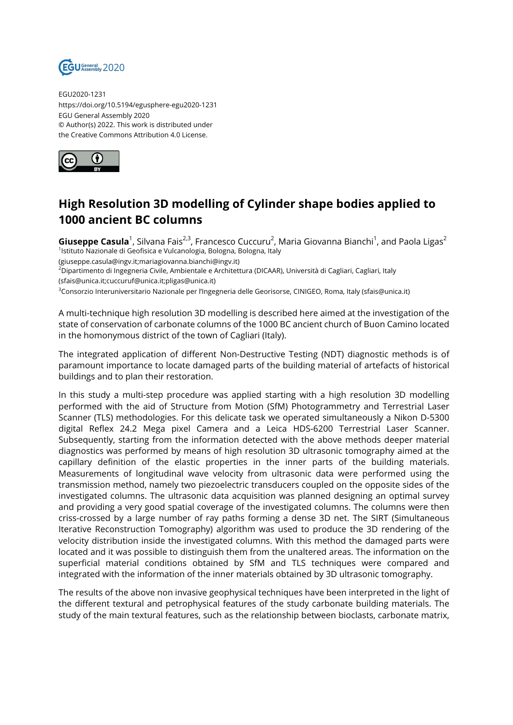

EGU2020-1231 https://doi.org/10.5194/egusphere-egu2020-1231 EGU General Assembly 2020 © Author(s) 2022. This work is distributed under the Creative Commons Attribution 4.0 License.



## **High Resolution 3D modelling of Cylinder shape bodies applied to 1000 ancient BC columns**

**Giuseppe Casula**<sup>1</sup>, Silvana Fais<sup>2,3</sup>, Francesco Cuccuru<sup>2</sup>, Maria Giovanna Bianchi<sup>1</sup>, and Paola Ligas<sup>2</sup> <sup>1</sup>lstituto Nazionale di Geofisica e Vulcanologia, Bologna, Bologna, Italy

(giuseppe.casula@ingv.it;mariagiovanna.bianchi@ingv.it)

<sup>2</sup>Dipartimento di Ingegneria Civile, Ambientale e Architettura (DICAAR), Università di Cagliari, Cagliari, Italy (sfais@unica.it;cuccuruf@unica.it;pligas@unica.it)

<sup>3</sup>Consorzio Interuniversitario Nazionale per l'Ingegneria delle Georisorse, CINIGEO, Roma, Italy (sfais@unica.it)

A multi-technique high resolution 3D modelling is described here aimed at the investigation of the state of conservation of carbonate columns of the 1000 BC ancient church of Buon Camino located in the homonymous district of the town of Cagliari (Italy).

The integrated application of different Non-Destructive Testing (NDT) diagnostic methods is of paramount importance to locate damaged parts of the building material of artefacts of historical buildings and to plan their restoration.

In this study a multi-step procedure was applied starting with a high resolution 3D modelling performed with the aid of Structure from Motion (SfM) Photogrammetry and Terrestrial Laser Scanner (TLS) methodologies. For this delicate task we operated simultaneously a Nikon D-5300 digital Reflex 24.2 Mega pixel Camera and a Leica HDS-6200 Terrestrial Laser Scanner. Subsequently, starting from the information detected with the above methods deeper material diagnostics was performed by means of high resolution 3D ultrasonic tomography aimed at the capillary definition of the elastic properties in the inner parts of the building materials. Measurements of longitudinal wave velocity from ultrasonic data were performed using the transmission method, namely two piezoelectric transducers coupled on the opposite sides of the investigated columns. The ultrasonic data acquisition was planned designing an optimal survey and providing a very good spatial coverage of the investigated columns. The columns were then criss-crossed by a large number of ray paths forming a dense 3D net. The SIRT (Simultaneous Iterative Reconstruction Tomography) algorithm was used to produce the 3D rendering of the velocity distribution inside the investigated columns. With this method the damaged parts were located and it was possible to distinguish them from the unaltered areas. The information on the superficial material conditions obtained by SfM and TLS techniques were compared and integrated with the information of the inner materials obtained by 3D ultrasonic tomography.

The results of the above non invasive geophysical techniques have been interpreted in the light of the different textural and petrophysical features of the study carbonate building materials. The study of the main textural features, such as the relationship between bioclasts, carbonate matrix,